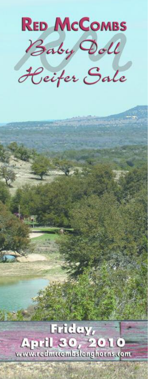

# Friday, April 30, 2010 www.redmttombslonghorns.com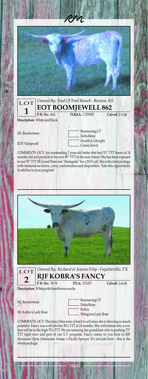

| $\boxed{\text{LOT}}$ Owned By: End Of Trail Ranch - Benton, KS<br><b>1</b> EOT BOOMJEWELL 862 |                               |                       |                |
|-----------------------------------------------------------------------------------------------|-------------------------------|-----------------------|----------------|
|                                                                                               | <b>P.H. No.: 862</b>          | <b>TLBAA: C259381</b> | Calved: 2-3-08 |
|                                                                                               | Description: White and black. |                       |                |

HL Boomerman

EOT Nitejewell

Boomerang CP Delta Betsy Double L's Knight Classic Jewel

COMMENTS: OCV. An outstanding 2 year-old heifer that had 53" TTT horns at 24 months old and predicts to be over 80" TTT in the near future! She has been exposed to our 70" TTT JR Grand Slam son "Renegade" for a 2010 calf. She is the total package with tremendous horns, color, conformation and disposition. Take this opportunity to add her to your program!



LOT *Owned By: Richard & Jeanne Filip - Fayetteville, TX* **2 RJF KOBRA'S FANCY ITLA:** 251471 **Calved:** 2-8-08

**P. H. No.:** 39/8 **ITLA:** 251471 **Calved: Description:** White with front brown socks.

HL Boomerman

HL Kobra's Lady Rose

Boomerang CP Delta Betsy Kobra Wiregrass Lady Rose

COMMENTS: OCV. This fancy blue roan is hard to sell since she is showing so much potential. Fancy was well into her 50's TTT at 24 months. She will mature into a cow that will be in the high 70's TTT. We are retaining her granddam who is pushing 75" TTT right now and part of our E.T. program. Fancy comes to you bred to RJF Awesome Opus (Awesome Alamo x Pacific Spruce). It's not just horn - this is the whole package.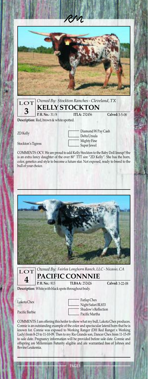

|               | LOT Owned By: Stockton Ranches - Cleveland, TX<br>3 KELLY STOCKTON |                |
|---------------|--------------------------------------------------------------------|----------------|
| R.H.No.: 31/8 | <b>ITLA: 252456</b>                                                | Calved: 3-5-08 |
|               |                                                                    |                |

**Description:** Red, brown & white spotted.

ZD Kelly

Stockton's Tigress

Diamond W Pay Cash Delta Ursula Mighty Fine Super Jewel

COMMENTS: OCV. We are proud to add Kelly Stockton to the Baby Doll lineup! She is an extra fancy daughter of the over 80" TTT sire "ZD Kelly". She has the horn, color, genetics and style to become a future star. Not exposed, ready to breed to the bull of your choice.



LOT **4**

*Owned By: Fairlea Longhorn Ranch, LLC - Nicasio, CA* **PACIFIC CONNNIE**

**TLBAA: 252426** P.H. No.: 813

Calved: 3-22-08

**Description:** White with black spots throughout body.

Lakota Chex

Pacific Barbie

Farlap Chex Night Safari BL833 Shadow's Reflection Pacific Martha

COMMENTS: I am offering this heifer to show what my bull, Lakota Chex produces. Connie is an outstanding example of the color and spectacular lateral horn that he is known for. Connie was exposed to Working Ranger (DH Red Ranger x Working Lady) from 8-23 to 11-10-09. Then to my Rio Grande son, Dancer Chex from 11-15-09 to sale date. Pregnancy information will be provided before sale date. Connie and offspring are Millennium Futurity eligible and are warrantied free of Johnes and Bovine Leukemia.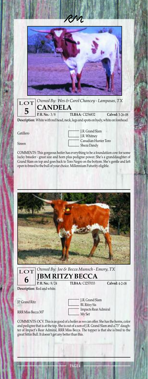

| $\overline{5}$ | $\boxed{\text{LOT}}$ Owned By: Wes & Carol Chancey - Lampasas, TX |                                                                                    |                 |
|----------------|-------------------------------------------------------------------|------------------------------------------------------------------------------------|-----------------|
|                | R.H.No.: 3/8                                                      | <b>TLBAA: CI256832</b>                                                             | Calved: 3-26-08 |
|                |                                                                   | Description: White with red head, neck, legs and spots on body, white on forehead. |                 |

Gatillero

Sireen

J.R. Grand Slam J.R. Whitney Canadian Hunter Toro Sheza Dandy

COMMENTS: This gorgeous heifer has everything to be a foundatiion cow for some lucky breeder - great size and horn plus pedigree power. She's a granddaughter of Grand Slam on top and goes back to Toro Negro on the bottom. She's gentle and left open to breed to the bull of your choice. Millennium Futurity eligible.





**Description:** Red and white.

JP Grand Ritz

RRR Miss Becca 307

J.R. Grand Slam BL Ritzy Sis Impacts Rear Admiral My Set

Calved: 4-2-08

COMMENTS: OCV. This is as good of a heifer as we can offer. She has the horns, color and pedigree that is at the top. She is out of a son of J.R. Grand Slam and a 73" daughter of Impact's Rear Admiral, RRR Miss Becca. The topper is that she is bred to the great Sittin Bull. It doesn't get any better than this.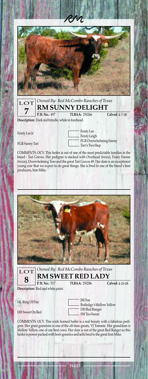

|                                                   | LOT Owned By: Red McCombs Ranches of Texas<br><b>RM SUNNY DELIGHT</b> |                       |                |
|---------------------------------------------------|-----------------------------------------------------------------------|-----------------------|----------------|
|                                                   | P.H.No.: 497                                                          | <b>TLBAA</b> : 250266 | Calved: 4-7-08 |
| Description: Dark red brindle, white in forehead. |                                                                       |                       |                |

Feisty Lee Jr

FGR Sunny Tari

| <b>Feisty</b> Lee      |
|------------------------|
| Feisty Leigh           |
| FGR Overwhelming Sunny |
| Tari's Two Step        |

COMMENTS: OCV. This heifer is out of one of the most predictable families in the breed - Tari Graves. Her pedigree is stacked with Overhead (twice), Feisty Fannie (twice), Overwhelming Toro and the great Tari Graves 49. Her dam is an exceptional young cow that we expect to do great things. She is bred to one of the breed's best producers, Iron Mike.





*Owned By: Red McCombs Ranches of Texas* **RM SWEET RED LADY**

**TLBAA: 250286** 

Calved: 4-10-08

**Description:** Red and white paint.

P.H. No.: 517

HL Ring Of Fire

DH Sweet On Red

M Sue Rutledge's Mellow Yellow DH Red Ranger SW Too Sweet

COMMENTS: OCV. This wide horned heifer is a real beauty with a fabulous pedigree. Her great grandsire is one of the all-time greats, VJ Tommie. Her granddam is Mellow Yellow, one of our best cows. Her dam is out of the great Red Ranger so this heifer is power packed with horn genetics and sells bred to the great Iron Mike.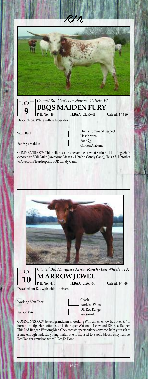| P.H.No.: 48 | LOT Owned By: G&G Longhorns - Catlett, VA<br><b>TLBAA: CI255741</b> | Calved: 4-14-08 |
|-------------|---------------------------------------------------------------------|-----------------|

**Description:** White with red speckles.

Sittin Bull

Bar BQ's Maiden

Hunts Command Respect Hashbrown Bar BQ Golden Alabama

COMMENTS: OCV. This heifer is a great example of what Sittin Bull is doing. She's exposed to SDR Duke (Awesome Viagra x Hatch's Candy Cane), He's a full brother to Awesome Teardrop and SDR Candy Cane.



**10**

LOT *Owned By: Marquess Arrow Ranch - Ben Wheeler, TX* **MARROW JEWEL**

**TLBAA: CI261986** P.H. No.: 4/8

Calved: 4-15-08

**Description:** Red with white lineback.

Working Man Chex

Watson 476

Coach Working Woman DH Red Ranger Watson 411

COMMENTS: OCV. Jewels granddam is Working Woman, who now has over 81" of horn tip to tip. Her bottom side is the super Watson 411 cow and DH Red Ranger. This Red Ranger, Working Man Chex cross is spectacular everytime, help yourself to a sure enough fantastic young heifer. She is exposed to a solid black Feisty Fannie, Red Ranger grandson we call Get-Er-Done.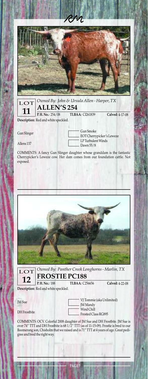

LOT *Owned By: John & Ursula Allen - Harper, TX* **11 ALLEN'S 254 TLBAA: CI261839** P.H. No.: 254/08 Calved: 4-17-08

**Description:** Red and white speckled.

Gun Slinger

Allens 137

Gun Smoke EOT Cherrypicker's Leweze LP Turbulent Winds Dawn 55/8

COMMENTS: A fancy Gun Slinger daughter whose granddam is the fantastic Cherrypicker's Leweze cow. Her dam comes from our foundation cattle. Not exposed.



| LOT Owned By: Panther Creek Longhorns - Marlin, TX<br>12 FROSTIE PC188<br>TLBAA: C256656 Calved: 4-22-0 |  |                 |
|---------------------------------------------------------------------------------------------------------|--|-----------------|
|                                                                                                         |  | Calved: 4-22-08 |

**Description:** Red and white speckled.

JM Sue

DH Frostbite

VJ Tommie (aka Unlimited) IM Mandy Wind Chill Frosted Class RG895

COMMENTS: OCV. Colorful 2008 daughter of JM Sue and DH Frostbite. JM Sue is over 74" TTT and DH Frostbite is 68 1/2" TTT (as of 11-15-09). Frostie is bred to our Boomerang son, Chisholm that we raised and is 71" TTT at 4 years of age. Great pedigree and bred the right way.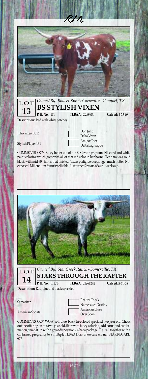

|  |                                                    | LOT Owned By: Bow & Sylvia Carpenter - Comfort, TX<br>13 BS STYLISH VIXEN |                 |
|--|----------------------------------------------------|---------------------------------------------------------------------------|-----------------|
|  | R.H.No.: 111                                       | <b>TLBAA: C259980</b>                                                     | Calved: 4-25-08 |
|  | December Comp. Deal and the substitute of the con- |                                                                           |                 |

**Description:** Red with white patches.

Julio Vixen ECR

Stylish Player 131

Don Julio Delta Vixen Amigo Chex Delta Lagniappe

COMMENTS: OCV. Fancy heifer out of the El Coyote program. Nice red and white paint coloring which goes with all of that red color in her horns. Her dam was solid black with mid 60" horns that twisted. Vixen pedigree doesn't get much hotter. Not exposed. Millennium Futurity eligible. Just turned 2 years of age 1 week ago.





*Owned By: Star Creek Ranch - Somerville, TX* **STARS THROUGH THE RAFTER**

P.H. No.: 511/8

**P. H. No.:** 511/8 TLBAA: C1261242 Calved: 5-11-08 **Description:** Red, blue and black speckled.

Samaritan

American Sonata

- Reality Check Namesakes Destiny American Blues Over Soon

COMMENTS: OCV. WOW, red, blue, black tri-colored speckled two year old. Check out the offering on this two year old. Start with fancy coloring, add horns and conformation, wrap it up with a great disposition - what a package. Tie it all together with a confirmed pregnancy to a multiple TLBAA Horn Showcase winner, STAR REGARD 927.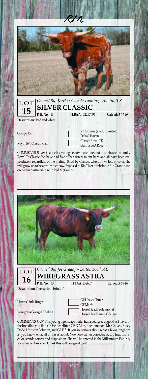

| LOT Owned By: Kurt & Glenda Twining - Austin, TX<br>15 SILVER CLASSIC<br>TLBAA: Cl257094 Calved: 5-12 |  |                 |
|-------------------------------------------------------------------------------------------------------|--|-----------------|
|                                                                                                       |  | Calved: 5-12-08 |
| Description: Red and white.                                                                           |  |                 |

Gringo 158

Royal Te's Classic Rose

VJ Tommie (aka Unlimited) Delta Heaven Classic Royal TE Gunna Be ARose

COMMENTS: Silver Classic is a young beauty that comes out of our best cow family Royal Te Classic. We have had five of her sisters in our herd and all have been real producers regardless of the mating. Sired by Gringo, who throws lots of color, she will grow up to be a really nice cow. Exposed to Rio Tiger our brindle Rio Grande son owned in partnership with Red McCombs.





**Description:** Tiger stripe "brindle".

Hitters Little Rugrat

Wiregrass Georgia Thelma

GF Heavy Hitter GF Marfa - Horse Head Professional L - Horse Head Lump O Sugar

Calved: 5-19-08

COMMENTS: OCV. This young tiger stripe heifer has a pedigree as good as I have. In the breeding you find GF Heavy Hitter, GF G-Man, Phenomenon, Mr. Graves, Rusty Dode, Houston Solution, and GF Fifi. If you are serious about what a Texas longhorn is, you know what all of this is about. Now look at her correctness, top line, horns, color, stands correct and disposition. She will be entered in the Millennium Futurity for whoever buys her. I think this will be a great cow!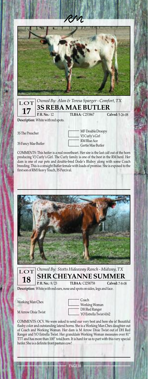

|                                                                                                                                                                                                                                                                                                                            | LOT Owned By: Alan & Teresa Sparger - Comfort, TX<br>17 3S REBA MAE BUTLER |                 |  |
|----------------------------------------------------------------------------------------------------------------------------------------------------------------------------------------------------------------------------------------------------------------------------------------------------------------------------|----------------------------------------------------------------------------|-----------------|--|
| R.H.No.: 12<br>$\mathbf{r}$ , $\mathbf{r}$ , $\mathbf{r}$ , $\mathbf{r}$ , $\mathbf{r}$ , $\mathbf{r}$ , $\mathbf{r}$ , $\mathbf{r}$ , $\mathbf{r}$ , $\mathbf{r}$ , $\mathbf{r}$ , $\mathbf{r}$ , $\mathbf{r}$ , $\mathbf{r}$ , $\mathbf{r}$ , $\mathbf{r}$ , $\mathbf{r}$ , $\mathbf{r}$ , $\mathbf{r}$ , $\mathbf{r}$ , | <b>TLBAA: C253867</b>                                                      | Calved: 5-26-08 |  |

**Description:** White with red spots.

3S The Preacher

3S Fancy Mae Butler

MF Double Droopy VJ Curly's Girl RM Blue Ace Gertie Mae Butler

COMMENTS: This heifer is a real sweetheart. Her sire is the last calf out of the horn producing VJ Curly's Girl. The Curly family is one of the best in the RM herd. Her dam is one of our pets and double-bred Dode's Bluboy along with some Coach breeding. This is a straight Butler female with loads of promise. She is exposed to the first son of RM Heavy Touch, 3S Percival.





**Description:** White with red ears, nose and spots on sides, legs and face.

Working Man Chex

MArrow Dixie Twist

Coach Working Woman DH Red Ranger YO Estrella Twist 4162

COMMENTS: OCV. We were asked to send our very best and here she is! Beautiful flashy color and outstanding lateral horns. She is a Working Man Chex daughter out of Coach and Working Woman. Her dam is M Arrow Dixie Twist out of DH Red Ranger and YO Estrella Twist. Her granddam Working Woman measures over 81" TTT and has more than 100" total horn. It is hard for us to part with this very special heifer. She is a definite front pasture cow!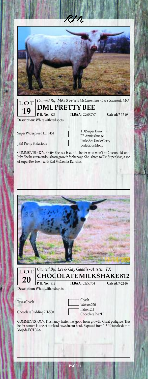

| $\boxed{\text{LOT}}$ Owned By: Mike & Felecia McClanahan - Lee's Summit, MO<br>$\boxed{\text{19}}$ DML PRETTY BEE<br>TLBAA: C2600787 Calved: 7-12-08 |                        |                 |
|------------------------------------------------------------------------------------------------------------------------------------------------------|------------------------|-----------------|
| <b>P.H. No.: 823</b>                                                                                                                                 | <b>TLBAA: C2600787</b> | Calved: 7-12-08 |

**Description:** White with red spots.

Super Widespread EOT 451

JBM Pretty Bodacious

TDJ Super Hero PB Annies Image - Little Ace Uncle Gerry - Bodacious Molly

COMMENTS: OCV. Pretty Bee is a beautiful heifer who won't be 2 years old until July. She has tremendous horn growth for her age. She is bred to RM Super Mac, a son of Super Rex I own with Red McCombs Ranches.





*Owned By: Lee & Gay Gaddis - Austin, TX* **CHOCOLATE MILKSHAKE 812**

**TLBAA: CI255754** 

Calved: 7-22-08

**Description:** White with red spots.

Texas Coach

Chocolate Pudding 2H-500

| : Coach            |
|--------------------|
| $-$ Watson 270     |
| Patron 2H          |
| - Chocolate Pie 2H |

COMMENTS: OCV. This fancy heifer has good horn growth. Great pedigree. This heifer's mom is one of our lead cows in our herd. Exposed from 1-3-10 to sale date to Mojada EOT 36-6.